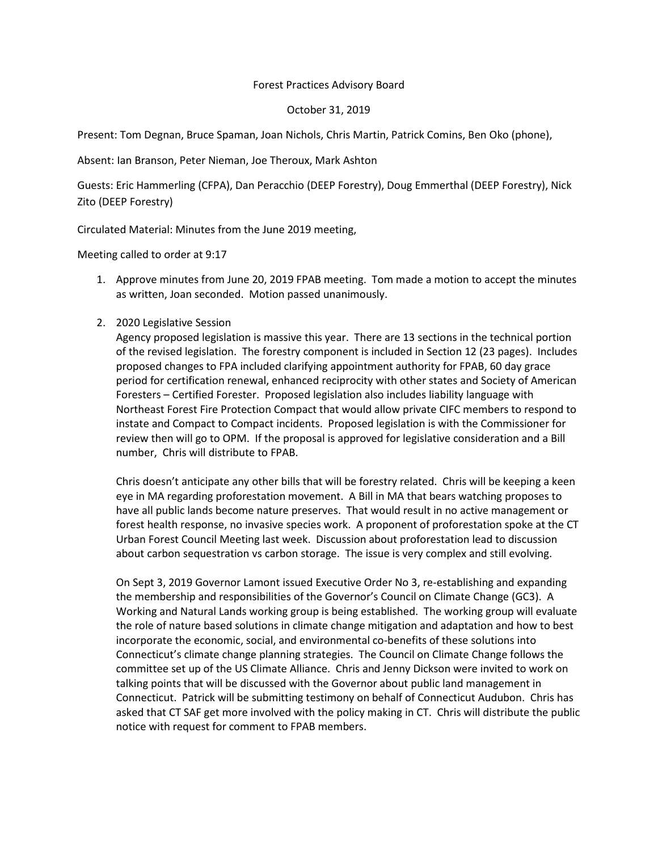## Forest Practices Advisory Board

## October 31, 2019

Present: Tom Degnan, Bruce Spaman, Joan Nichols, Chris Martin, Patrick Comins, Ben Oko (phone),

Absent: Ian Branson, Peter Nieman, Joe Theroux, Mark Ashton

Guests: Eric Hammerling (CFPA), Dan Peracchio (DEEP Forestry), Doug Emmerthal (DEEP Forestry), Nick Zito (DEEP Forestry)

Circulated Material: Minutes from the June 2019 meeting,

Meeting called to order at 9:17

1. Approve minutes from June 20, 2019 FPAB meeting. Tom made a motion to accept the minutes as written, Joan seconded. Motion passed unanimously.

## 2. 2020 Legislative Session

Agency proposed legislation is massive this year. There are 13 sections in the technical portion of the revised legislation. The forestry component is included in Section 12 (23 pages). Includes proposed changes to FPA included clarifying appointment authority for FPAB, 60 day grace period for certification renewal, enhanced reciprocity with other states and Society of American Foresters – Certified Forester. Proposed legislation also includes liability language with Northeast Forest Fire Protection Compact that would allow private CIFC members to respond to instate and Compact to Compact incidents. Proposed legislation is with the Commissioner for review then will go to OPM. If the proposal is approved for legislative consideration and a Bill number, Chris will distribute to FPAB.

Chris doesn't anticipate any other bills that will be forestry related. Chris will be keeping a keen eye in MA regarding proforestation movement. A Bill in MA that bears watching proposes to have all public lands become nature preserves. That would result in no active management or forest health response, no invasive species work. A proponent of proforestation spoke at the CT Urban Forest Council Meeting last week. Discussion about proforestation lead to discussion about carbon sequestration vs carbon storage. The issue is very complex and still evolving.

On Sept 3, 2019 Governor Lamont issued Executive Order No 3, re-establishing and expanding the membership and responsibilities of the Governor's Council on Climate Change (GC3). A Working and Natural Lands working group is being established. The working group will evaluate the role of nature based solutions in climate change mitigation and adaptation and how to best incorporate the economic, social, and environmental co-benefits of these solutions into Connecticut's climate change planning strategies. The Council on Climate Change follows the committee set up of the US Climate Alliance. Chris and Jenny Dickson were invited to work on talking points that will be discussed with the Governor about public land management in Connecticut. Patrick will be submitting testimony on behalf of Connecticut Audubon. Chris has asked that CT SAF get more involved with the policy making in CT. Chris will distribute the public notice with request for comment to FPAB members.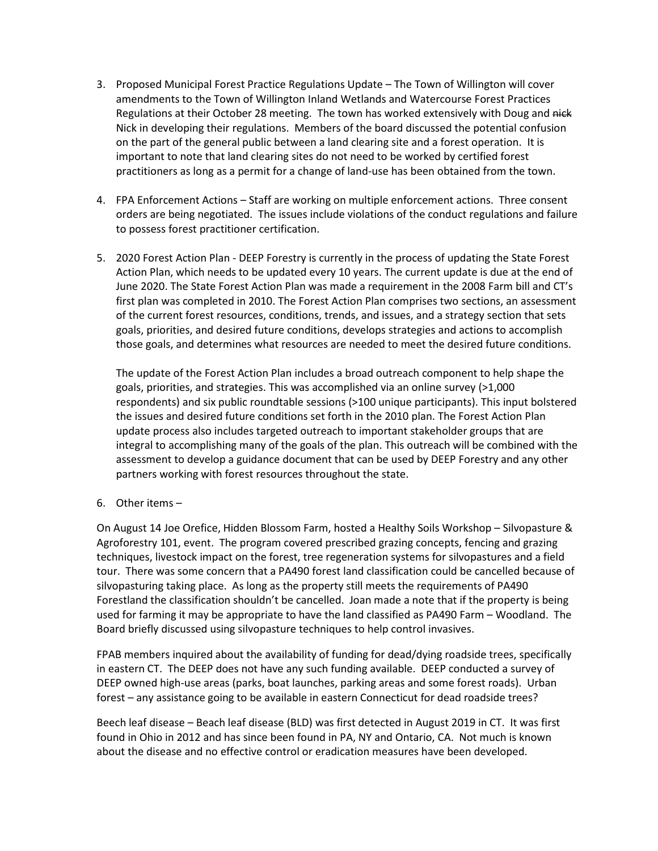- 3. Proposed Municipal Forest Practice Regulations Update The Town of Willington will cover amendments to the Town of Willington Inland Wetlands and Watercourse Forest Practices Regulations at their October 28 meeting. The town has worked extensively with Doug and nick Nick in developing their regulations. Members of the board discussed the potential confusion on the part of the general public between a land clearing site and a forest operation. It is important to note that land clearing sites do not need to be worked by certified forest practitioners as long as a permit for a change of land-use has been obtained from the town.
- 4. FPA Enforcement Actions Staff are working on multiple enforcement actions. Three consent orders are being negotiated. The issues include violations of the conduct regulations and failure to possess forest practitioner certification.
- 5. 2020 Forest Action Plan DEEP Forestry is currently in the process of updating the State Forest Action Plan, which needs to be updated every 10 years. The current update is due at the end of June 2020. The State Forest Action Plan was made a requirement in the 2008 Farm bill and CT's first plan was completed in 2010. The Forest Action Plan comprises two sections, an assessment of the current forest resources, conditions, trends, and issues, and a strategy section that sets goals, priorities, and desired future conditions, develops strategies and actions to accomplish those goals, and determines what resources are needed to meet the desired future conditions.

The update of the Forest Action Plan includes a broad outreach component to help shape the goals, priorities, and strategies. This was accomplished via an online survey (>1,000 respondents) and six public roundtable sessions (>100 unique participants). This input bolstered the issues and desired future conditions set forth in the 2010 plan. The Forest Action Plan update process also includes targeted outreach to important stakeholder groups that are integral to accomplishing many of the goals of the plan. This outreach will be combined with the assessment to develop a guidance document that can be used by DEEP Forestry and any other partners working with forest resources throughout the state.

6. Other items –

On August 14 Joe Orefice, Hidden Blossom Farm, hosted a Healthy Soils Workshop – Silvopasture & Agroforestry 101, event. The program covered prescribed grazing concepts, fencing and grazing techniques, livestock impact on the forest, tree regeneration systems for silvopastures and a field tour. There was some concern that a PA490 forest land classification could be cancelled because of silvopasturing taking place. As long as the property still meets the requirements of PA490 Forestland the classification shouldn't be cancelled. Joan made a note that if the property is being used for farming it may be appropriate to have the land classified as PA490 Farm – Woodland. The Board briefly discussed using silvopasture techniques to help control invasives.

FPAB members inquired about the availability of funding for dead/dying roadside trees, specifically in eastern CT. The DEEP does not have any such funding available. DEEP conducted a survey of DEEP owned high-use areas (parks, boat launches, parking areas and some forest roads). Urban forest – any assistance going to be available in eastern Connecticut for dead roadside trees?

Beech leaf disease – Beach leaf disease (BLD) was first detected in August 2019 in CT. It was first found in Ohio in 2012 and has since been found in PA, NY and Ontario, CA. Not much is known about the disease and no effective control or eradication measures have been developed.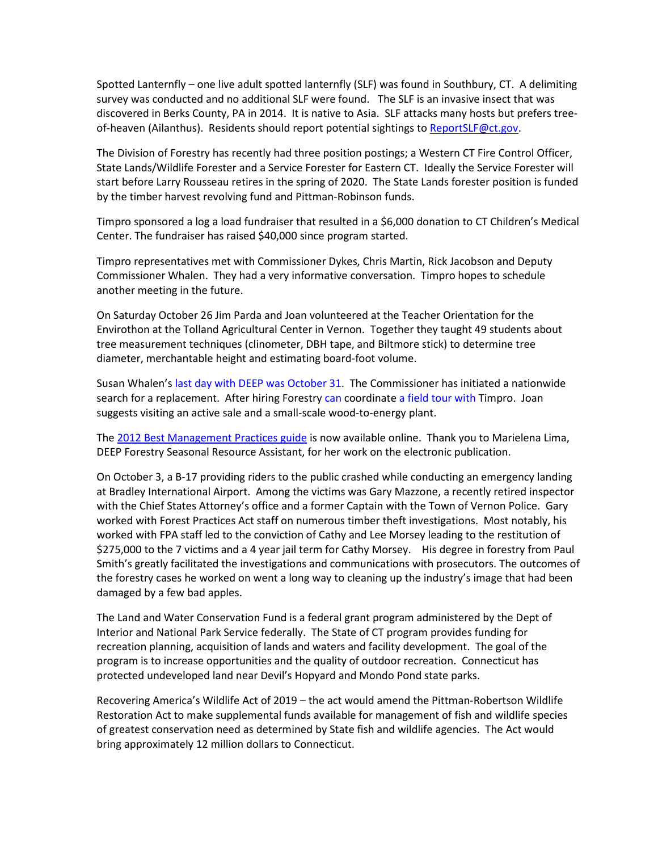Spotted Lanternfly – one live adult spotted lanternfly (SLF) was found in Southbury, CT. A delimiting survey was conducted and no additional SLF were found. The SLF is an invasive insect that was discovered in Berks County, PA in 2014. It is native to Asia. SLF attacks many hosts but prefers tree-of-heaven (Ailanthus). Residents should report potential sightings to [ReportSLF@ct.gov.](mailto:ReportSLF@ct.gov)

The Division of Forestry has recently had three position postings; a Western CT Fire Control Officer, State Lands/Wildlife Forester and a Service Forester for Eastern CT. Ideally the Service Forester will start before Larry Rousseau retires in the spring of 2020. The State Lands forester position is funded by the timber harvest revolving fund and Pittman-Robinson funds.

Timpro sponsored a log a load fundraiser that resulted in a \$6,000 donation to CT Children's Medical Center. The fundraiser has raised \$40,000 since program started.

Timpro representatives met with Commissioner Dykes, Chris Martin, Rick Jacobson and Deputy Commissioner Whalen. They had a very informative conversation. Timpro hopes to schedule another meeting in the future.

On Saturday October 26 Jim Parda and Joan volunteered at the Teacher Orientation for the Envirothon at the Tolland Agricultural Center in Vernon. Together they taught 49 students about tree measurement techniques (clinometer, DBH tape, and Biltmore stick) to determine tree diameter, merchantable height and estimating board-foot volume.

Susan Whalen's last day with DEEP was October 31. The Commissioner has initiated a nationwide search for a replacement. After hiring Forestry can coordinate a field tour with Timpro. Joan suggests visiting an active sale and a small-scale wood-to-energy plant.

The [2012 Best Management Practices guide](https://www.ct.gov/deep/lib/deep/forestry/best_management_practices/best_practicesmanual.pdf) is now available online. Thank you to Marielena Lima, DEEP Forestry Seasonal Resource Assistant, for her work on the electronic publication.

On October 3, a B-17 providing riders to the public crashed while conducting an emergency landing at Bradley International Airport. Among the victims was Gary Mazzone, a recently retired inspector with the Chief States Attorney's office and a former Captain with the Town of Vernon Police. Gary worked with Forest Practices Act staff on numerous timber theft investigations. Most notably, his worked with FPA staff led to the conviction of Cathy and Lee Morsey leading to the restitution of \$275,000 to the 7 victims and a 4 year jail term for Cathy Morsey. His degree in forestry from Paul Smith's greatly facilitated the investigations and communications with prosecutors. The outcomes of the forestry cases he worked on went a long way to cleaning up the industry's image that had been damaged by a few bad apples.

The Land and Water Conservation Fund is a federal grant program administered by the Dept of Interior and National Park Service federally. The State of CT program provides funding for recreation planning, acquisition of lands and waters and facility development. The goal of the program is to increase opportunities and the quality of outdoor recreation. Connecticut has protected undeveloped land near Devil's Hopyard and Mondo Pond state parks.

Recovering America's Wildlife Act of 2019 – the act would amend the Pittman-Robertson Wildlife Restoration Act to make supplemental funds available for management of fish and wildlife species of greatest conservation need as determined by State fish and wildlife agencies. The Act would bring approximately 12 million dollars to Connecticut.